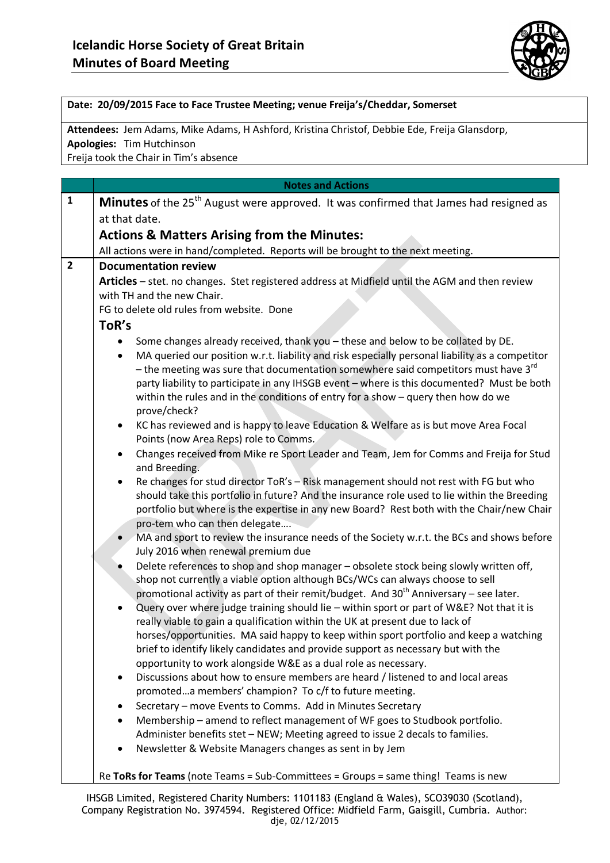

## **Date: 20/09/2015 Face to Face Trustee Meeting; venue Freija's/Cheddar, Somerset**

**Attendees:** Jem Adams, Mike Adams, H Ashford, Kristina Christof, Debbie Ede, Freija Glansdorp,

**Apologies:** Tim Hutchinson

Freija took the Chair in Tim's absence

|                | <b>Notes and Actions</b>                                                                                                                                                                                                                                                                                                                                                                                                                                                            |
|----------------|-------------------------------------------------------------------------------------------------------------------------------------------------------------------------------------------------------------------------------------------------------------------------------------------------------------------------------------------------------------------------------------------------------------------------------------------------------------------------------------|
| $\mathbf{1}$   | Minutes of the 25 <sup>th</sup> August were approved. It was confirmed that James had resigned as                                                                                                                                                                                                                                                                                                                                                                                   |
|                | at that date.                                                                                                                                                                                                                                                                                                                                                                                                                                                                       |
|                | <b>Actions &amp; Matters Arising from the Minutes:</b>                                                                                                                                                                                                                                                                                                                                                                                                                              |
|                | All actions were in hand/completed. Reports will be brought to the next meeting.                                                                                                                                                                                                                                                                                                                                                                                                    |
| $\overline{2}$ | <b>Documentation review</b>                                                                                                                                                                                                                                                                                                                                                                                                                                                         |
|                | Articles - stet. no changes. Stet registered address at Midfield until the AGM and then review<br>with TH and the new Chair.                                                                                                                                                                                                                                                                                                                                                        |
|                | FG to delete old rules from website. Done                                                                                                                                                                                                                                                                                                                                                                                                                                           |
|                | ToR's                                                                                                                                                                                                                                                                                                                                                                                                                                                                               |
|                | Some changes already received, thank you - these and below to be collated by DE.<br>MA queried our position w.r.t. liability and risk especially personal liability as a competitor<br>- the meeting was sure that documentation somewhere said competitors must have $3^{rd}$<br>party liability to participate in any IHSGB event - where is this documented? Must be both<br>within the rules and in the conditions of entry for a show $-$ query then how do we<br>prove/check? |
|                | KC has reviewed and is happy to leave Education & Welfare as is but move Area Focal<br>$\bullet$<br>Points (now Area Reps) role to Comms.                                                                                                                                                                                                                                                                                                                                           |
|                | Changes received from Mike re Sport Leader and Team, Jem for Comms and Freija for Stud<br>$\bullet$<br>and Breeding.                                                                                                                                                                                                                                                                                                                                                                |
|                | Re changes for stud director ToR's - Risk management should not rest with FG but who<br>$\bullet$<br>should take this portfolio in future? And the insurance role used to lie within the Breeding<br>portfolio but where is the expertise in any new Board? Rest both with the Chair/new Chair<br>pro-tem who can then delegate                                                                                                                                                     |
|                | MA and sport to review the insurance needs of the Society w.r.t. the BCs and shows before<br>July 2016 when renewal premium due                                                                                                                                                                                                                                                                                                                                                     |
|                | Delete references to shop and shop manager - obsolete stock being slowly written off,<br>shop not currently a viable option although BCs/WCs can always choose to sell<br>promotional activity as part of their remit/budget. And $30th$ Anniversary – see later.<br>Query over where judge training should lie - within sport or part of W&E? Not that it is<br>$\bullet$<br>really viable to gain a qualification within the UK at present due to lack of                         |
|                | horses/opportunities. MA said happy to keep within sport portfolio and keep a watching<br>brief to identify likely candidates and provide support as necessary but with the<br>opportunity to work alongside W&E as a dual role as necessary.                                                                                                                                                                                                                                       |
|                | Discussions about how to ensure members are heard / listened to and local areas<br>$\bullet$<br>promoteda members' champion? To c/f to future meeting.                                                                                                                                                                                                                                                                                                                              |
|                | Secretary - move Events to Comms. Add in Minutes Secretary                                                                                                                                                                                                                                                                                                                                                                                                                          |
|                | Membership - amend to reflect management of WF goes to Studbook portfolio.<br>$\bullet$<br>Administer benefits stet - NEW; Meeting agreed to issue 2 decals to families.                                                                                                                                                                                                                                                                                                            |
|                | Newsletter & Website Managers changes as sent in by Jem<br>$\bullet$                                                                                                                                                                                                                                                                                                                                                                                                                |

IHSGB Limited, Registered Charity Numbers: 1101183 (England & Wales), SCO39030 (Scotland), Company Registration No. 3974594. Registered Office: Midfield Farm, Gaisgill, Cumbria. Author: dje, 02/12/2015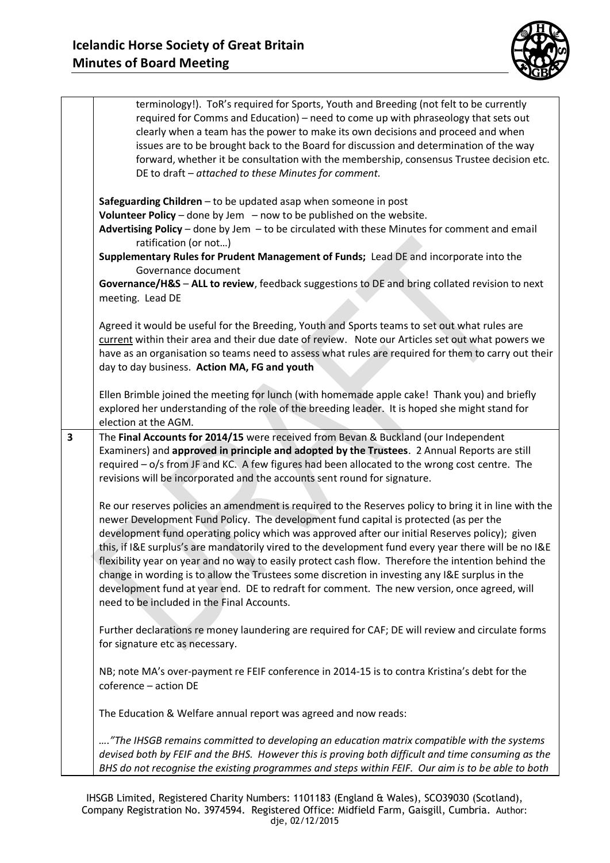

|                         | terminology!). ToR's required for Sports, Youth and Breeding (not felt to be currently<br>required for Comms and Education) – need to come up with phraseology that sets out<br>clearly when a team has the power to make its own decisions and proceed and when<br>issues are to be brought back to the Board for discussion and determination of the way<br>forward, whether it be consultation with the membership, consensus Trustee decision etc.<br>DE to draft - attached to these Minutes for comment.                                                                                                                                                                                                                                                |
|-------------------------|---------------------------------------------------------------------------------------------------------------------------------------------------------------------------------------------------------------------------------------------------------------------------------------------------------------------------------------------------------------------------------------------------------------------------------------------------------------------------------------------------------------------------------------------------------------------------------------------------------------------------------------------------------------------------------------------------------------------------------------------------------------|
|                         | Safeguarding Children - to be updated asap when someone in post<br>Volunteer Policy – done by Jem – now to be published on the website.<br>Advertising Policy - done by Jem - to be circulated with these Minutes for comment and email<br>ratification (or not)<br>Supplementary Rules for Prudent Management of Funds; Lead DE and incorporate into the<br>Governance document<br>Governance/H&S - ALL to review, feedback suggestions to DE and bring collated revision to next<br>meeting. Lead DE                                                                                                                                                                                                                                                        |
|                         | Agreed it would be useful for the Breeding, Youth and Sports teams to set out what rules are<br>current within their area and their due date of review. Note our Articles set out what powers we<br>have as an organisation so teams need to assess what rules are required for them to carry out their<br>day to day business. Action MA, FG and youth                                                                                                                                                                                                                                                                                                                                                                                                       |
|                         | Ellen Brimble joined the meeting for lunch (with homemade apple cake! Thank you) and briefly<br>explored her understanding of the role of the breeding leader. It is hoped she might stand for<br>election at the AGM.                                                                                                                                                                                                                                                                                                                                                                                                                                                                                                                                        |
| $\overline{\mathbf{3}}$ | The Final Accounts for 2014/15 were received from Bevan & Buckland (our Independent<br>Examiners) and approved in principle and adopted by the Trustees. 2 Annual Reports are still<br>required - o/s from JF and KC. A few figures had been allocated to the wrong cost centre. The<br>revisions will be incorporated and the accounts sent round for signature.                                                                                                                                                                                                                                                                                                                                                                                             |
|                         | Re our reserves policies an amendment is required to the Reserves policy to bring it in line with the<br>newer Development Fund Policy. The development fund capital is protected (as per the<br>development fund operating policy which was approved after our initial Reserves policy); given<br>this, if I&E surplus's are mandatorily vired to the development fund every year there will be no I&E<br>flexibility year on year and no way to easily protect cash flow. Therefore the intention behind the<br>change in wording is to allow the Trustees some discretion in investing any I&E surplus in the<br>development fund at year end. DE to redraft for comment. The new version, once agreed, will<br>need to be included in the Final Accounts. |
|                         | Further declarations re money laundering are required for CAF; DE will review and circulate forms<br>for signature etc as necessary.                                                                                                                                                                                                                                                                                                                                                                                                                                                                                                                                                                                                                          |
|                         | NB; note MA's over-payment re FEIF conference in 2014-15 is to contra Kristina's debt for the<br>coference - action DE                                                                                                                                                                                                                                                                                                                                                                                                                                                                                                                                                                                                                                        |
|                         | The Education & Welfare annual report was agreed and now reads:                                                                                                                                                                                                                                                                                                                                                                                                                                                                                                                                                                                                                                                                                               |
|                         | "The IHSGB remains committed to developing an education matrix compatible with the systems<br>devised both by FEIF and the BHS. However this is proving both difficult and time consuming as the<br>BHS do not recognise the existing programmes and steps within FEIF. Our aim is to be able to both                                                                                                                                                                                                                                                                                                                                                                                                                                                         |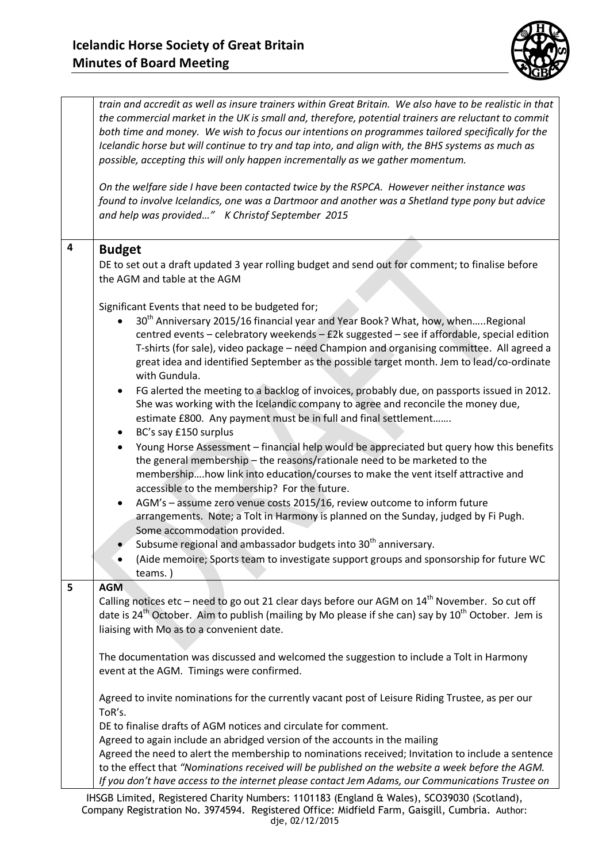

|   | train and accredit as well as insure trainers within Great Britain. We also have to be realistic in that<br>the commercial market in the UK is small and, therefore, potential trainers are reluctant to commit<br>both time and money. We wish to focus our intentions on programmes tailored specifically for the<br>Icelandic horse but will continue to try and tap into, and align with, the BHS systems as much as<br>possible, accepting this will only happen incrementally as we gather momentum.<br>On the welfare side I have been contacted twice by the RSPCA. However neither instance was<br>found to involve Icelandics, one was a Dartmoor and another was a Shetland type pony but advice<br>and help was provided" K Christof September 2015 |
|---|-----------------------------------------------------------------------------------------------------------------------------------------------------------------------------------------------------------------------------------------------------------------------------------------------------------------------------------------------------------------------------------------------------------------------------------------------------------------------------------------------------------------------------------------------------------------------------------------------------------------------------------------------------------------------------------------------------------------------------------------------------------------|
| 4 | <b>Budget</b><br>DE to set out a draft updated 3 year rolling budget and send out for comment; to finalise before<br>the AGM and table at the AGM<br>Significant Events that need to be budgeted for;                                                                                                                                                                                                                                                                                                                                                                                                                                                                                                                                                           |
|   | 30 <sup>th</sup> Anniversary 2015/16 financial year and Year Book? What, how, whenRegional<br>centred events - celebratory weekends - £2k suggested - see if affordable, special edition<br>T-shirts (for sale), video package - need Champion and organising committee. All agreed a<br>great idea and identified September as the possible target month. Jem to lead/co-ordinate<br>with Gundula.                                                                                                                                                                                                                                                                                                                                                             |
|   | FG alerted the meeting to a backlog of invoices, probably due, on passports issued in 2012.<br>٠<br>She was working with the Icelandic company to agree and reconcile the money due,<br>estimate £800. Any payment must be in full and final settlement<br>BC's say £150 surplus<br>Young Horse Assessment - financial help would be appreciated but query how this benefits                                                                                                                                                                                                                                                                                                                                                                                    |
|   | the general membership - the reasons/rationale need to be marketed to the<br>membershiphow link into education/courses to make the vent itself attractive and<br>accessible to the membership? For the future.<br>AGM's - assume zero venue costs 2015/16, review outcome to inform future<br>$\bullet$                                                                                                                                                                                                                                                                                                                                                                                                                                                         |
|   | arrangements. Note; a Tolt in Harmony is planned on the Sunday, judged by Fi Pugh.<br>Some accommodation provided.<br>Subsume regional and ambassador budgets into 30 <sup>th</sup> anniversary.<br>(Aide memoire; Sports team to investigate support groups and sponsorship for future WC<br>teams.)                                                                                                                                                                                                                                                                                                                                                                                                                                                           |
| 5 | <b>AGM</b><br>Calling notices etc – need to go out 21 clear days before our AGM on $14th$ November. So cut off<br>date is $24^{th}$ October. Aim to publish (mailing by Mo please if she can) say by $10^{th}$ October. Jem is<br>liaising with Mo as to a convenient date.                                                                                                                                                                                                                                                                                                                                                                                                                                                                                     |
|   | The documentation was discussed and welcomed the suggestion to include a Tolt in Harmony<br>event at the AGM. Timings were confirmed.                                                                                                                                                                                                                                                                                                                                                                                                                                                                                                                                                                                                                           |
|   | Agreed to invite nominations for the currently vacant post of Leisure Riding Trustee, as per our<br>ToR's.<br>DE to finalise drafts of AGM notices and circulate for comment.                                                                                                                                                                                                                                                                                                                                                                                                                                                                                                                                                                                   |
|   | Agreed to again include an abridged version of the accounts in the mailing<br>Agreed the need to alert the membership to nominations received; Invitation to include a sentence<br>to the effect that "Nominations received will be published on the website a week before the AGM.<br>If you don't have access to the internet please contact Jem Adams, our Communications Trustee on                                                                                                                                                                                                                                                                                                                                                                         |